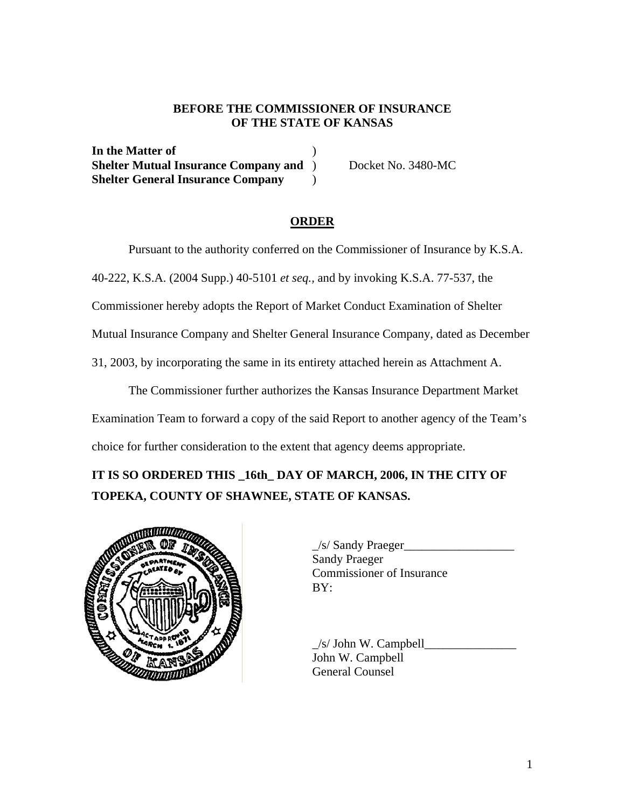# **BEFORE THE COMMISSIONER OF INSURANCE OF THE STATE OF KANSAS**

**In the Matter of** ) **Shelter Mutual Insurance Company and** ) Docket No. 3480-MC **Shelter General Insurance Company** )

# **ORDER**

Pursuant to the authority conferred on the Commissioner of Insurance by K.S.A.

40-222, K.S.A. (2004 Supp.) 40-5101 *et seq.,* and by invoking K.S.A. 77-537, the

Commissioner hereby adopts the Report of Market Conduct Examination of Shelter

Mutual Insurance Company and Shelter General Insurance Company, dated as December

31, 2003, by incorporating the same in its entirety attached herein as Attachment A.

 The Commissioner further authorizes the Kansas Insurance Department Market Examination Team to forward a copy of the said Report to another agency of the Team's choice for further consideration to the extent that agency deems appropriate.

**IT IS SO ORDERED THIS \_16th\_ DAY OF MARCH, 2006, IN THE CITY OF TOPEKA, COUNTY OF SHAWNEE, STATE OF KANSAS.** 



\_/s/ Sandy Praeger\_\_\_\_\_\_\_\_\_\_\_\_\_\_\_\_\_\_ Sandy Praeger Commissioner of Insurance

 $\angle$ s/ John W. Campbell $\Box$ John W. Campbell General Counsel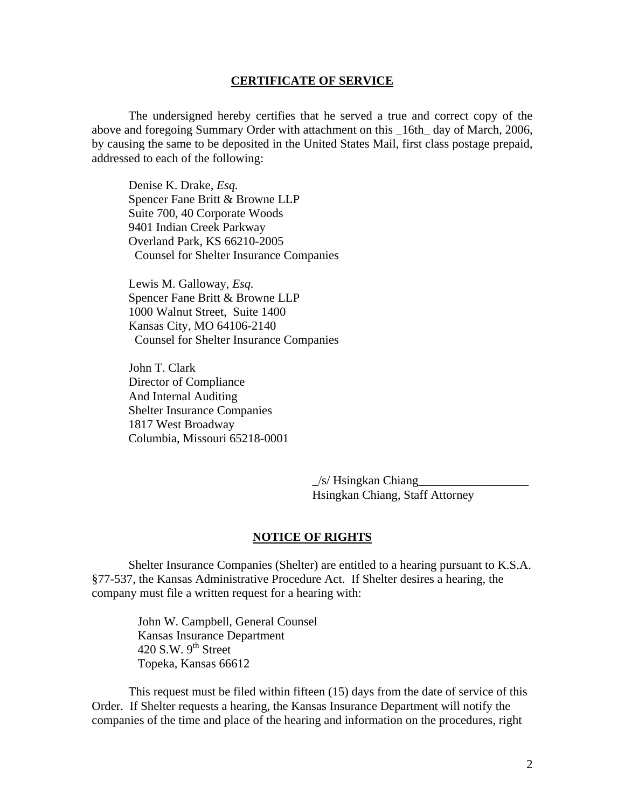#### **CERTIFICATE OF SERVICE**

 The undersigned hereby certifies that he served a true and correct copy of the above and foregoing Summary Order with attachment on this \_16th\_ day of March, 2006, by causing the same to be deposited in the United States Mail, first class postage prepaid, addressed to each of the following:

Denise K. Drake, *Esq.*  Spencer Fane Britt & Browne LLP Suite 700, 40 Corporate Woods 9401 Indian Creek Parkway Overland Park, KS 66210-2005 Counsel for Shelter Insurance Companies

 Lewis M. Galloway, *Esq.*  Spencer Fane Britt & Browne LLP 1000 Walnut Street, Suite 1400 Kansas City, MO 64106-2140 Counsel for Shelter Insurance Companies

John T. Clark Director of Compliance And Internal Auditing Shelter Insurance Companies 1817 West Broadway Columbia, Missouri 65218-0001

> $\frac{1}{s}$  Hsingkan Chiang Hsingkan Chiang, Staff Attorney

## **NOTICE OF RIGHTS**

 Shelter Insurance Companies (Shelter) are entitled to a hearing pursuant to K.S.A. §77-537, the Kansas Administrative Procedure Act. If Shelter desires a hearing, the company must file a written request for a hearing with:

John W. Campbell, General Counsel Kansas Insurance Department 420 S.W.  $9^{th}$  Street Topeka, Kansas 66612

 This request must be filed within fifteen (15) days from the date of service of this Order. If Shelter requests a hearing, the Kansas Insurance Department will notify the companies of the time and place of the hearing and information on the procedures, right